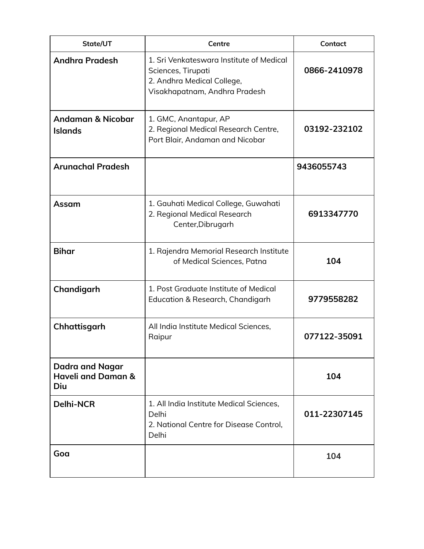| State/UT                                                       | Centre                                                                                                                        | Contact      |
|----------------------------------------------------------------|-------------------------------------------------------------------------------------------------------------------------------|--------------|
| <b>Andhra Pradesh</b>                                          | 1. Sri Venkateswara Institute of Medical<br>Sciences, Tirupati<br>2. Andhra Medical College,<br>Visakhapatnam, Andhra Pradesh | 0866-2410978 |
| Andaman & Nicobar<br><b>Islands</b>                            | 1. GMC, Anantapur, AP<br>2. Regional Medical Research Centre,<br>Port Blair, Andaman and Nicobar                              | 03192-232102 |
| <b>Arunachal Pradesh</b>                                       |                                                                                                                               | 9436055743   |
| Assam                                                          | 1. Gauhati Medical College, Guwahati<br>2. Regional Medical Research<br>Center, Dibrugarh                                     | 6913347770   |
| <b>Bihar</b>                                                   | 1. Rajendra Memorial Research Institute<br>of Medical Sciences, Patna                                                         | 104          |
| Chandigarh                                                     | 1. Post Graduate Institute of Medical<br>Education & Research, Chandigarh                                                     | 9779558282   |
| Chhattisgarh                                                   | All India Institute Medical Sciences,<br>Raipur                                                                               | 077122-35091 |
| <b>Dadra and Nagar</b><br><b>Haveli and Daman &amp;</b><br>Diu |                                                                                                                               | 104          |
| <b>Delhi-NCR</b>                                               | 1. All India Institute Medical Sciences,<br>Delhi<br>2. National Centre for Disease Control,<br>Delhi                         | 011-22307145 |
| Goa                                                            |                                                                                                                               | 104          |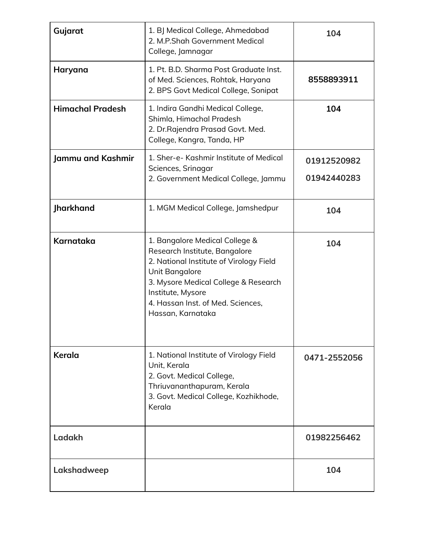| Gujarat                 | 1. BJ Medical College, Ahmedabad<br>2. M.P.Shah Government Medical<br>College, Jamnagar                                                                                                                                                             | 104                        |
|-------------------------|-----------------------------------------------------------------------------------------------------------------------------------------------------------------------------------------------------------------------------------------------------|----------------------------|
| Haryana                 | 1. Pt. B.D. Sharma Post Graduate Inst.<br>of Med. Sciences, Rohtak, Haryana<br>2. BPS Govt Medical College, Sonipat                                                                                                                                 | 8558893911                 |
| <b>Himachal Pradesh</b> | 1. Indira Gandhi Medical College,<br>Shimla, Himachal Pradesh<br>2. Dr. Rajendra Prasad Govt. Med.<br>College, Kangra, Tanda, HP                                                                                                                    | 104                        |
| Jammu and Kashmir       | 1. Sher-e- Kashmir Institute of Medical<br>Sciences, Srinagar<br>2. Government Medical College, Jammu                                                                                                                                               | 01912520982<br>01942440283 |
| Jharkhand               | 1. MGM Medical College, Jamshedpur                                                                                                                                                                                                                  | 104                        |
| <b>Karnataka</b>        | 1. Bangalore Medical College &<br>Research Institute, Bangalore<br>2. National Institute of Virology Field<br>Unit Bangalore<br>3. Mysore Medical College & Research<br>Institute, Mysore<br>4. Hassan Inst. of Med. Sciences,<br>Hassan, Karnataka | 104                        |
| Kerala                  | 1. National Institute of Virology Field<br>Unit, Kerala<br>2. Govt. Medical College,<br>Thriuvananthapuram, Kerala<br>3. Govt. Medical College, Kozhikhode,<br>Kerala                                                                               | 0471-2552056               |
| Ladakh                  |                                                                                                                                                                                                                                                     | 01982256462                |
| Lakshadweep             |                                                                                                                                                                                                                                                     | 104                        |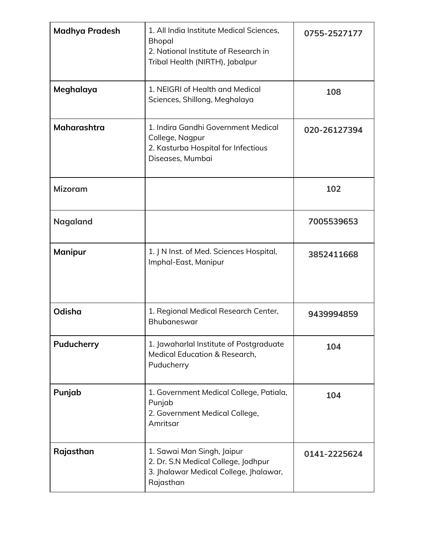| <b>Madhya Pradesh</b> | 1. All India Institute Medical Sciences,<br><b>Bhopal</b><br>2. National Institute of Research in<br>Tribal Health (NIRTH), Jabalpur | 0755-2527177 |
|-----------------------|--------------------------------------------------------------------------------------------------------------------------------------|--------------|
| Meghalaya             | 1. NEIGRI of Health and Medical<br>Sciences, Shillong, Meghalaya                                                                     | 108          |
| Maharashtra           | 1. Indira Gandhi Government Medical<br>College, Nagpur<br>2. Kasturba Hospital for Infectious<br>Diseases, Mumbai                    | 020-26127394 |
| <b>Mizoram</b>        |                                                                                                                                      | 102          |
| <b>Nagaland</b>       |                                                                                                                                      | 7005539653   |
| <b>Manipur</b>        | 1. J N Inst. of Med. Sciences Hospital,<br>Imphal-East, Manipur                                                                      | 3852411668   |
| Odisha                | 1. Regional Medical Research Center,<br>Bhubaneswar                                                                                  | 9439994859   |
| Puducherry            | 1. Jawaharlal Institute of Postgraduate<br>Medical Education & Research,<br>Puducherry                                               | 104          |
| Punjab                | 1. Government Medical College, Patiala,<br>Punjab<br>2. Government Medical College,<br>Amritsar                                      | 104          |
| Rajasthan             | 1. Sawai Man Singh, Jaipur<br>2. Dr. S.N Medical College, Jodhpur<br>3. Jhalawar Medical College, Jhalawar,<br>Rajasthan             | 0141-2225624 |